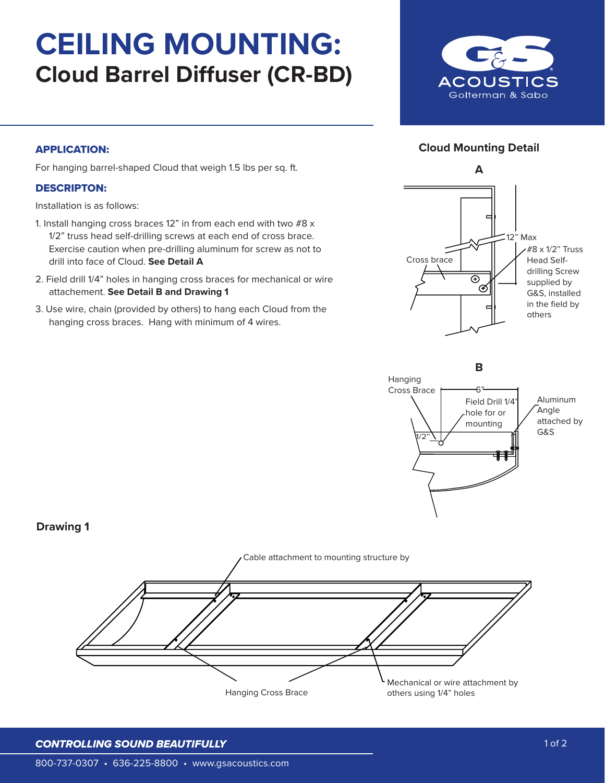# **CEILING MOUNTING: Cloud Barrel Diffuser (CR-BD)**



## **Cloud Mounting Detail**

#### APPLICATION:

For hanging barrel-shaped Cloud that weigh 1.5 lbs per sq. ft.

### DESCRIPTON:

Installation is as follows:

- 1. Install hanging cross braces 12" in from each end with two #8 x 1/2" truss head self-drilling screws at each end of cross brace. Exercise caution when pre-drilling aluminum for screw as not to drill into face of Cloud. **See Detail A**
- 2. Field drill 1/4" holes in hanging cross braces for mechanical or wire attachement. **See Detail B and Drawing 1**
- 3. Use wire, chain (provided by others) to hang each Cloud from the hanging cross braces. Hang with minimum of 4 wires.





## **Drawing 1**



#### *CONTROLLING SOUND BEAUTIFULLY*